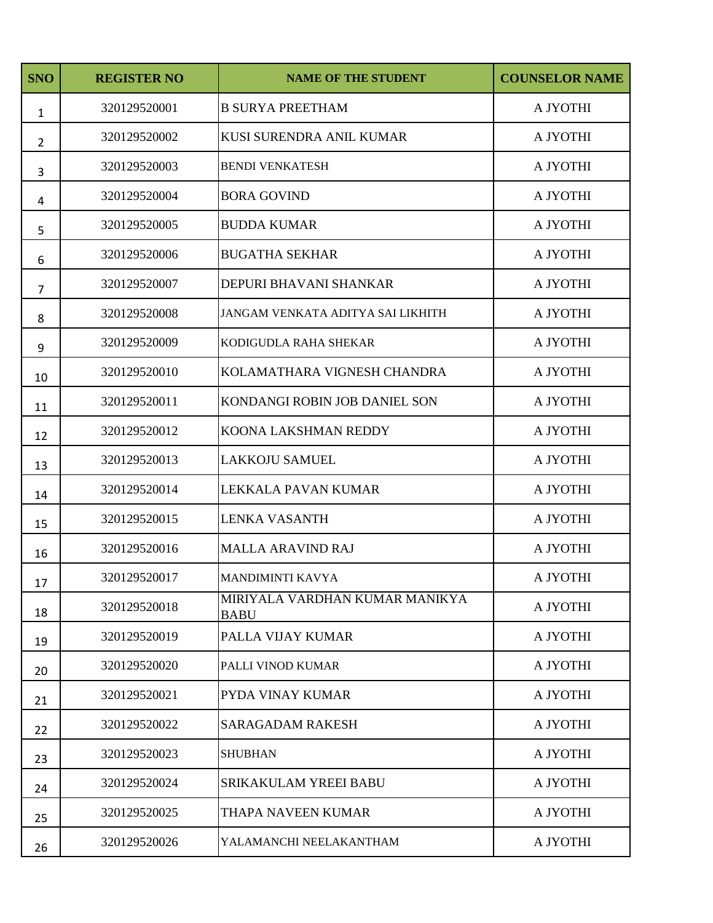| <b>SNO</b>     | <b>REGISTER NO</b> | <b>NAME OF THE STUDENT</b>                    | <b>COUNSELOR NAME</b> |
|----------------|--------------------|-----------------------------------------------|-----------------------|
| $\mathbf{1}$   | 320129520001       | <b>B SURYA PREETHAM</b>                       | A JYOTHI              |
| 2              | 320129520002       | KUSI SURENDRA ANIL KUMAR                      | A JYOTHI              |
| 3              | 320129520003       | <b>BENDI VENKATESH</b>                        | A JYOTHI              |
| 4              | 320129520004       | <b>BORA GOVIND</b>                            | A JYOTHI              |
| 5              | 320129520005       | <b>BUDDA KUMAR</b>                            | A JYOTHI              |
| 6              | 320129520006       | <b>BUGATHA SEKHAR</b>                         | A JYOTHI              |
| $\overline{7}$ | 320129520007       | DEPURI BHAVANI SHANKAR                        | A JYOTHI              |
| 8              | 320129520008       | JANGAM VENKATA ADITYA SAI LIKHITH             | A JYOTHI              |
| 9              | 320129520009       | KODIGUDLA RAHA SHEKAR                         | A JYOTHI              |
| 10             | 320129520010       | KOLAMATHARA VIGNESH CHANDRA                   | A JYOTHI              |
| 11             | 320129520011       | KONDANGI ROBIN JOB DANIEL SON                 | A JYOTHI              |
| 12             | 320129520012       | KOONA LAKSHMAN REDDY                          | A JYOTHI              |
| 13             | 320129520013       | <b>LAKKOJU SAMUEL</b>                         | A JYOTHI              |
| 14             | 320129520014       | LEKKALA PAVAN KUMAR                           | A JYOTHI              |
| 15             | 320129520015       | <b>LENKA VASANTH</b>                          | A JYOTHI              |
| 16             | 320129520016       | <b>MALLA ARAVIND RAJ</b>                      | A JYOTHI              |
| 17             | 320129520017       | <b>MANDIMINTI KAVYA</b>                       | A JYOTHI              |
| 18             | 320129520018       | MIRIYALA VARDHAN KUMAR MANIKYA<br><b>BABU</b> | A JYOTHI              |
| 19             | 320129520019       | PALLA VIJAY KUMAR                             | A JYOTHI              |
| 20             | 320129520020       | PALLI VINOD KUMAR                             | A JYOTHI              |
| 21             | 320129520021       | PYDA VINAY KUMAR                              | A JYOTHI              |
| 22             | 320129520022       | <b>SARAGADAM RAKESH</b>                       | A JYOTHI              |
| 23             | 320129520023       | <b>SHUBHAN</b>                                | A JYOTHI              |
| 24             | 320129520024       | SRIKAKULAM YREEI BABU                         | A JYOTHI              |
| 25             | 320129520025       | THAPA NAVEEN KUMAR                            | A JYOTHI              |
| 26             | 320129520026       | YALAMANCHI NEELAKANTHAM                       | A JYOTHI              |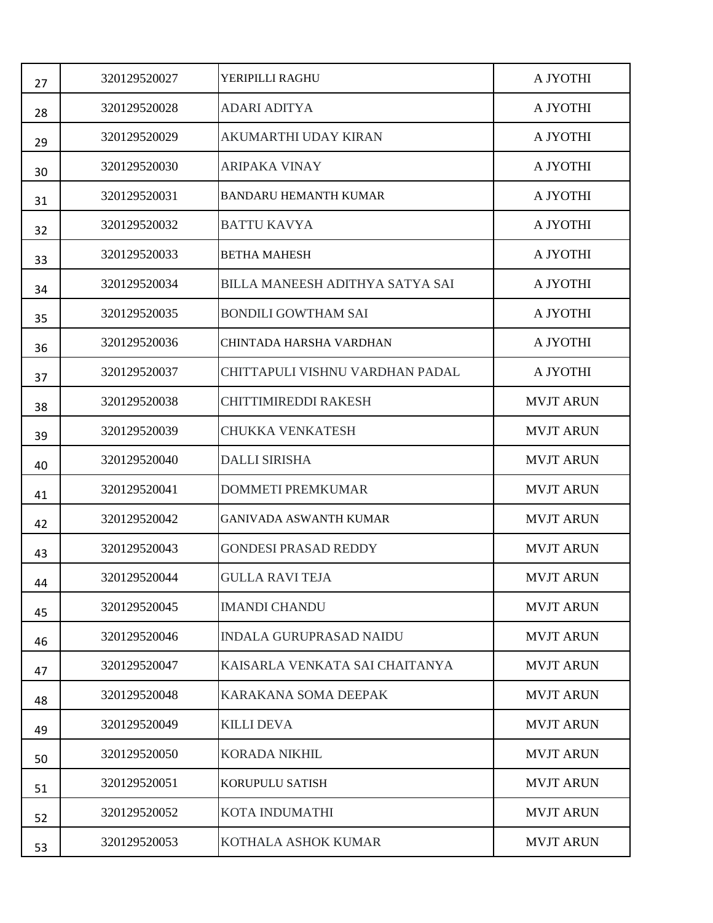| 27 | 320129520027 | YERIPILLI RAGHU                 | A JYOTHI         |
|----|--------------|---------------------------------|------------------|
| 28 | 320129520028 | <b>ADARI ADITYA</b>             | A JYOTHI         |
| 29 | 320129520029 | <b>AKUMARTHI UDAY KIRAN</b>     | A JYOTHI         |
| 30 | 320129520030 | <b>ARIPAKA VINAY</b>            | A JYOTHI         |
| 31 | 320129520031 | <b>BANDARU HEMANTH KUMAR</b>    | A JYOTHI         |
| 32 | 320129520032 | <b>BATTU KAVYA</b>              | A JYOTHI         |
| 33 | 320129520033 | <b>BETHA MAHESH</b>             | A JYOTHI         |
| 34 | 320129520034 | BILLA MANEESH ADITHYA SATYA SAI | A JYOTHI         |
| 35 | 320129520035 | <b>BONDILI GOWTHAM SAI</b>      | A JYOTHI         |
| 36 | 320129520036 | <b>CHINTADA HARSHA VARDHAN</b>  | A JYOTHI         |
| 37 | 320129520037 | CHITTAPULI VISHNU VARDHAN PADAL | A JYOTHI         |
| 38 | 320129520038 | <b>CHITTIMIREDDI RAKESH</b>     | <b>MVJT ARUN</b> |
| 39 | 320129520039 | <b>CHUKKA VENKATESH</b>         | <b>MVJT ARUN</b> |
| 40 | 320129520040 | <b>DALLI SIRISHA</b>            | <b>MVJT ARUN</b> |
| 41 | 320129520041 | <b>DOMMETI PREMKUMAR</b>        | <b>MVJT ARUN</b> |
| 42 | 320129520042 | <b>GANIVADA ASWANTH KUMAR</b>   | <b>MVJT ARUN</b> |
| 43 | 320129520043 | <b>GONDESI PRASAD REDDY</b>     | <b>MVJT ARUN</b> |
| 44 | 320129520044 | <b>GULLA RAVI TEJA</b>          | <b>MVJT ARUN</b> |
| 45 | 320129520045 | <b>IMANDI CHANDU</b>            | <b>MVJT ARUN</b> |
| 46 | 320129520046 | <b>INDALA GURUPRASAD NAIDU</b>  | <b>MVJT ARUN</b> |
| 47 | 320129520047 | KAISARLA VENKATA SAI CHAITANYA  | <b>MVJT ARUN</b> |
| 48 | 320129520048 | KARAKANA SOMA DEEPAK            | <b>MVJT ARUN</b> |
| 49 | 320129520049 | <b>KILLI DEVA</b>               | <b>MVJT ARUN</b> |
| 50 | 320129520050 | <b>KORADA NIKHIL</b>            | <b>MVJT ARUN</b> |
| 51 | 320129520051 | KORUPULU SATISH                 | <b>MVJT ARUN</b> |
| 52 | 320129520052 | <b>KOTA INDUMATHI</b>           | <b>MVJT ARUN</b> |
| 53 | 320129520053 | KOTHALA ASHOK KUMAR             | <b>MVJT ARUN</b> |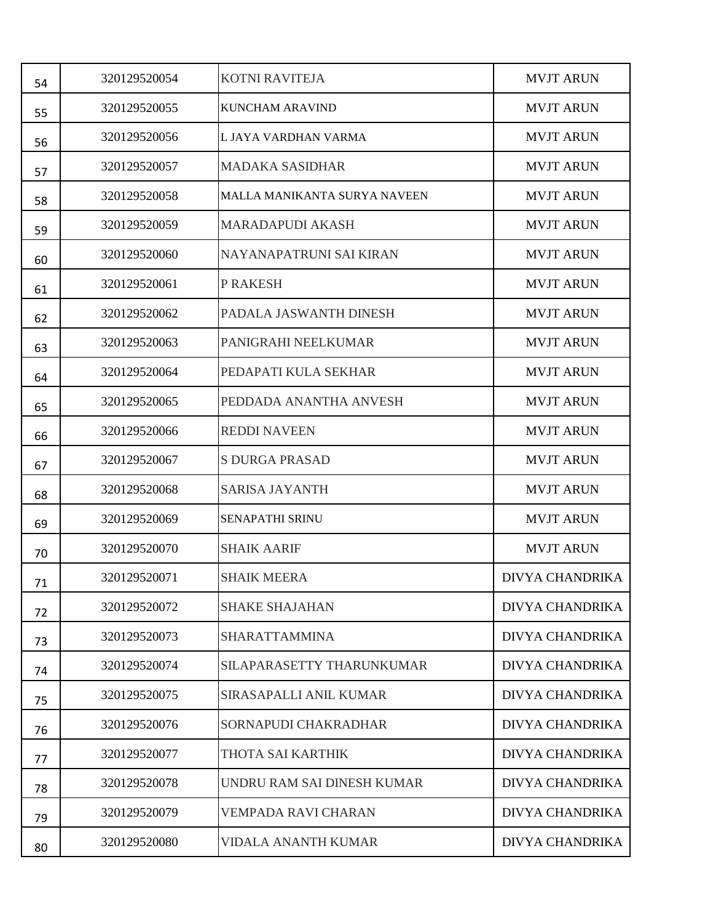| 54 | 320129520054 | <b>KOTNI RAVITEJA</b>        | <b>MVJT ARUN</b>       |
|----|--------------|------------------------------|------------------------|
| 55 | 320129520055 | <b>KUNCHAM ARAVIND</b>       | <b>MVJT ARUN</b>       |
| 56 | 320129520056 | L JAYA VARDHAN VARMA         | <b>MVJT ARUN</b>       |
| 57 | 320129520057 | <b>MADAKA SASIDHAR</b>       | <b>MVJT ARUN</b>       |
| 58 | 320129520058 | MALLA MANIKANTA SURYA NAVEEN | <b>MVJT ARUN</b>       |
| 59 | 320129520059 | <b>MARADAPUDI AKASH</b>      | <b>MVJT ARUN</b>       |
| 60 | 320129520060 | NAYANAPATRUNI SAI KIRAN      | MVJT ARUN              |
| 61 | 320129520061 | P RAKESH                     | <b>MVJT ARUN</b>       |
| 62 | 320129520062 | PADALA JASWANTH DINESH       | <b>MVJT ARUN</b>       |
| 63 | 320129520063 | PANIGRAHI NEELKUMAR          | <b>MVJT ARUN</b>       |
| 64 | 320129520064 | PEDAPATI KULA SEKHAR         | <b>MVJT ARUN</b>       |
| 65 | 320129520065 | PEDDADA ANANTHA ANVESH       | <b>MVJT ARUN</b>       |
| 66 | 320129520066 | <b>REDDI NAVEEN</b>          | <b>MVJT ARUN</b>       |
| 67 | 320129520067 | <b>S DURGA PRASAD</b>        | <b>MVJT ARUN</b>       |
| 68 | 320129520068 | <b>SARISA JAYANTH</b>        | <b>MVJT ARUN</b>       |
| 69 | 320129520069 | SENAPATHI SRINU              | <b>MVJT ARUN</b>       |
| 70 | 320129520070 | <b>SHAIK AARIF</b>           | <b>MVJT ARUN</b>       |
| 71 | 320129520071 | <b>SHAIK MEERA</b>           | <b>DIVYA CHANDRIKA</b> |
| 72 | 320129520072 | <b>SHAKE SHAJAHAN</b>        | <b>DIVYA CHANDRIKA</b> |
| 73 | 320129520073 | <b>SHARATTAMMINA</b>         | <b>DIVYA CHANDRIKA</b> |
| 74 | 320129520074 | SILAPARASETTY THARUNKUMAR    | <b>DIVYA CHANDRIKA</b> |
| 75 | 320129520075 | SIRASAPALLI ANIL KUMAR       | <b>DIVYA CHANDRIKA</b> |
| 76 | 320129520076 | SORNAPUDI CHAKRADHAR         | <b>DIVYA CHANDRIKA</b> |
| 77 | 320129520077 | THOTA SAI KARTHIK            | <b>DIVYA CHANDRIKA</b> |
| 78 | 320129520078 | UNDRU RAM SAI DINESH KUMAR   | <b>DIVYA CHANDRIKA</b> |
| 79 | 320129520079 | VEMPADA RAVI CHARAN          | <b>DIVYA CHANDRIKA</b> |
| 80 | 320129520080 | <b>VIDALA ANANTH KUMAR</b>   | <b>DIVYA CHANDRIKA</b> |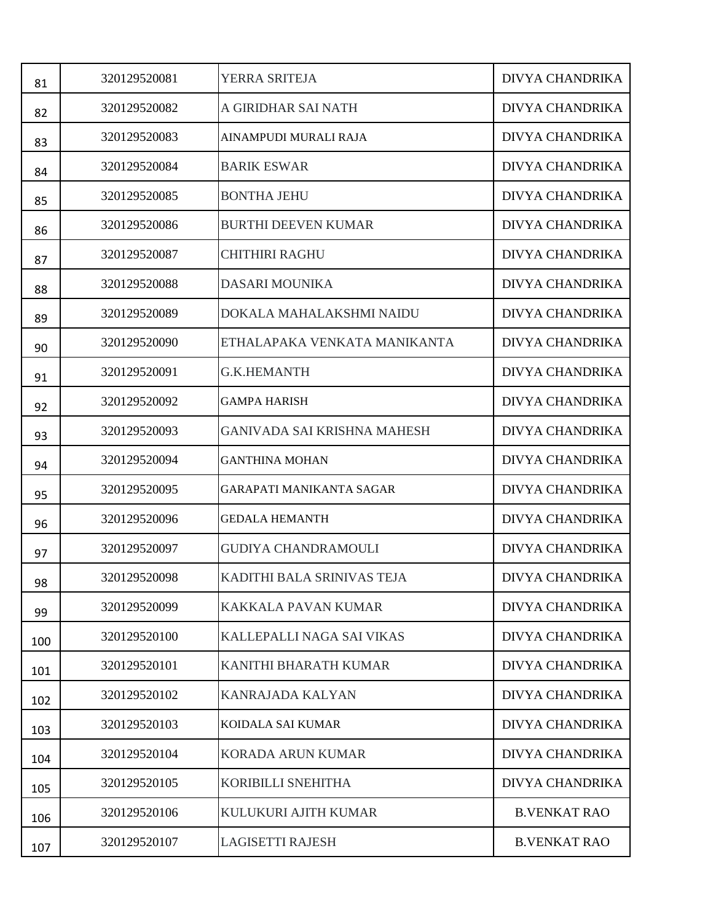| 81  | 320129520081 | YERRA SRITEJA                      | <b>DIVYA CHANDRIKA</b> |
|-----|--------------|------------------------------------|------------------------|
| 82  | 320129520082 | A GIRIDHAR SAI NATH                | <b>DIVYA CHANDRIKA</b> |
| 83  | 320129520083 | AINAMPUDI MURALI RAJA              | <b>DIVYA CHANDRIKA</b> |
| 84  | 320129520084 | <b>BARIK ESWAR</b>                 | <b>DIVYA CHANDRIKA</b> |
| 85  | 320129520085 | <b>BONTHA JEHU</b>                 | <b>DIVYA CHANDRIKA</b> |
| 86  | 320129520086 | <b>BURTHI DEEVEN KUMAR</b>         | <b>DIVYA CHANDRIKA</b> |
| 87  | 320129520087 | CHITHIRI RAGHU                     | <b>DIVYA CHANDRIKA</b> |
| 88  | 320129520088 | <b>DASARI MOUNIKA</b>              | <b>DIVYA CHANDRIKA</b> |
| 89  | 320129520089 | DOKALA MAHALAKSHMI NAIDU           | <b>DIVYA CHANDRIKA</b> |
| 90  | 320129520090 | ETHALAPAKA VENKATA MANIKANTA       | <b>DIVYA CHANDRIKA</b> |
| 91  | 320129520091 | <b>G.K.HEMANTH</b>                 | <b>DIVYA CHANDRIKA</b> |
| 92  | 320129520092 | <b>GAMPA HARISH</b>                | <b>DIVYA CHANDRIKA</b> |
| 93  | 320129520093 | <b>GANIVADA SAI KRISHNA MAHESH</b> | <b>DIVYA CHANDRIKA</b> |
| 94  | 320129520094 | <b>GANTHINA MOHAN</b>              | <b>DIVYA CHANDRIKA</b> |
| 95  | 320129520095 | <b>GARAPATI MANIKANTA SAGAR</b>    | <b>DIVYA CHANDRIKA</b> |
| 96  | 320129520096 | GEDALA HEMANTH                     | <b>DIVYA CHANDRIKA</b> |
| 97  | 320129520097 | <b>GUDIYA CHANDRAMOULI</b>         | <b>DIVYA CHANDRIKA</b> |
| 98  | 320129520098 | KADITHI BALA SRINIVAS TEJA         | <b>DIVYA CHANDRIKA</b> |
| 99  | 320129520099 | <b>KAKKALA PAVAN KUMAR</b>         | <b>DIVYA CHANDRIKA</b> |
| 100 | 320129520100 | KALLEPALLI NAGA SAI VIKAS          | <b>DIVYA CHANDRIKA</b> |
| 101 | 320129520101 | KANITHI BHARATH KUMAR              | <b>DIVYA CHANDRIKA</b> |
| 102 | 320129520102 | KANRAJADA KALYAN                   | <b>DIVYA CHANDRIKA</b> |
| 103 | 320129520103 | KOIDALA SAI KUMAR                  | <b>DIVYA CHANDRIKA</b> |
| 104 | 320129520104 | <b>KORADA ARUN KUMAR</b>           | <b>DIVYA CHANDRIKA</b> |
| 105 | 320129520105 | KORIBILLI SNEHITHA                 | <b>DIVYA CHANDRIKA</b> |
| 106 | 320129520106 | KULUKURI AJITH KUMAR               | <b>B.VENKAT RAO</b>    |
| 107 | 320129520107 | <b>LAGISETTI RAJESH</b>            | <b>B.VENKAT RAO</b>    |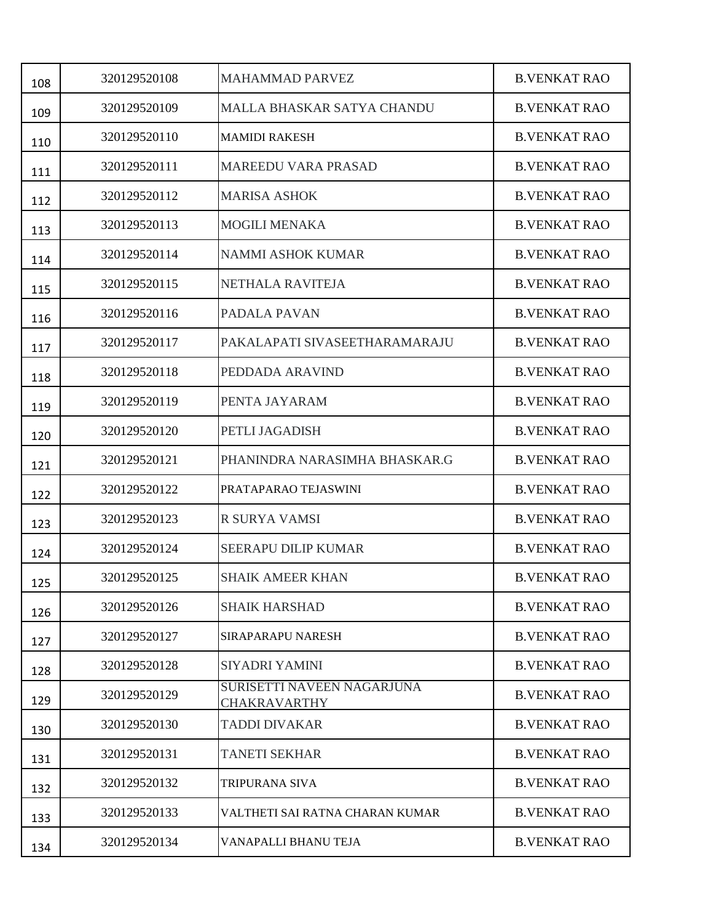| 108 | 320129520108 | <b>MAHAMMAD PARVEZ</b>                            | <b>B.VENKAT RAO</b> |
|-----|--------------|---------------------------------------------------|---------------------|
| 109 | 320129520109 | <b>MALLA BHASKAR SATYA CHANDU</b>                 | <b>B.VENKAT RAO</b> |
| 110 | 320129520110 | <b>MAMIDI RAKESH</b>                              | <b>B.VENKAT RAO</b> |
| 111 | 320129520111 | <b>MAREEDU VARA PRASAD</b>                        | <b>B.VENKAT RAO</b> |
| 112 | 320129520112 | <b>MARISA ASHOK</b>                               | <b>B.VENKAT RAO</b> |
| 113 | 320129520113 | <b>MOGILI MENAKA</b>                              | <b>B.VENKAT RAO</b> |
| 114 | 320129520114 | <b>NAMMI ASHOK KUMAR</b>                          | <b>B.VENKAT RAO</b> |
| 115 | 320129520115 | NETHALA RAVITEJA                                  | <b>B.VENKAT RAO</b> |
| 116 | 320129520116 | PADALA PAVAN                                      | <b>B.VENKAT RAO</b> |
| 117 | 320129520117 | PAKALAPATI SIVASEETHARAMARAJU                     | <b>B.VENKAT RAO</b> |
| 118 | 320129520118 | PEDDADA ARAVIND                                   | <b>B.VENKAT RAO</b> |
| 119 | 320129520119 | PENTA JAYARAM                                     | <b>B.VENKAT RAO</b> |
| 120 | 320129520120 | PETLI JAGADISH                                    | <b>B.VENKAT RAO</b> |
| 121 | 320129520121 | PHANINDRA NARASIMHA BHASKAR.G                     | <b>B.VENKAT RAO</b> |
| 122 | 320129520122 | PRATAPARAO TEJASWINI                              | <b>B.VENKAT RAO</b> |
| 123 | 320129520123 | <b>R SURYA VAMSI</b>                              | <b>B.VENKAT RAO</b> |
| 124 | 320129520124 | <b>SEERAPU DILIP KUMAR</b>                        | <b>B.VENKAT RAO</b> |
| 125 | 320129520125 | <b>SHAIK AMEER KHAN</b>                           | <b>B.VENKAT RAO</b> |
| 126 | 320129520126 | <b>SHAIK HARSHAD</b>                              | <b>B.VENKAT RAO</b> |
| 127 | 320129520127 | <b>SIRAPARAPU NARESH</b>                          | <b>B.VENKAT RAO</b> |
| 128 | 320129520128 | <b>SIYADRI YAMINI</b>                             | <b>B.VENKAT RAO</b> |
| 129 | 320129520129 | SURISETTI NAVEEN NAGARJUNA<br><b>CHAKRAVARTHY</b> | <b>B.VENKAT RAO</b> |
| 130 | 320129520130 | <b>TADDI DIVAKAR</b>                              | <b>B.VENKAT RAO</b> |
| 131 | 320129520131 | <b>TANETI SEKHAR</b>                              | <b>B.VENKAT RAO</b> |
| 132 | 320129520132 | <b>TRIPURANA SIVA</b>                             | <b>B.VENKAT RAO</b> |
| 133 | 320129520133 | VALTHETI SAI RATNA CHARAN KUMAR                   | <b>B.VENKAT RAO</b> |
| 134 | 320129520134 | VANAPALLI BHANU TEJA                              | <b>B.VENKAT RAO</b> |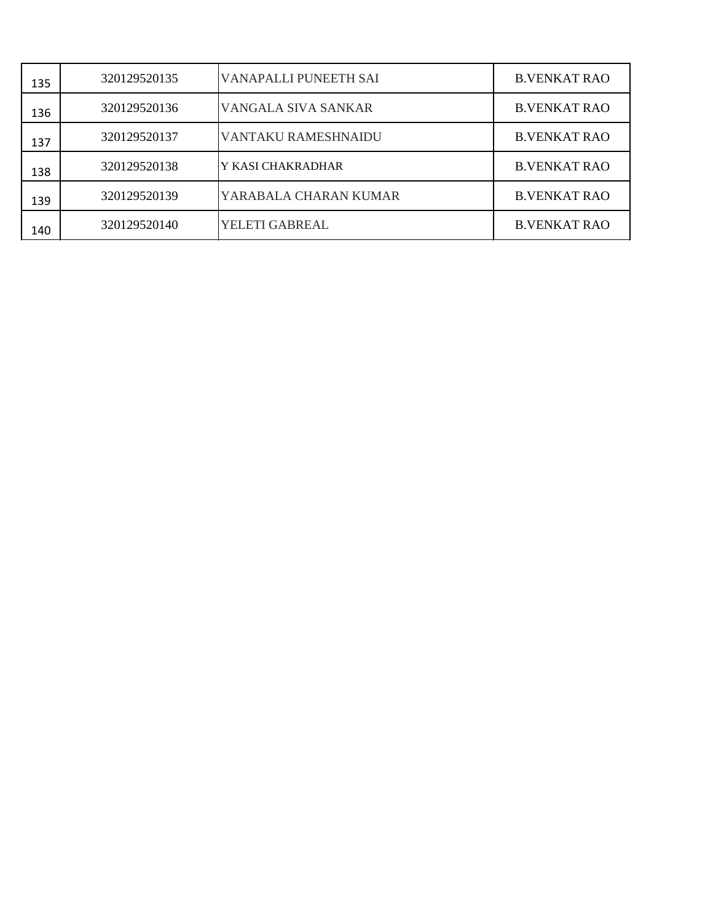| 135 | 320129520135 | <b>VANAPALLI PUNEETH SAI</b> | <b>B.VENKAT RAO</b> |
|-----|--------------|------------------------------|---------------------|
| 136 | 320129520136 | <b>VANGALA SIVA SANKAR</b>   | <b>B.VENKAT RAO</b> |
| 137 | 320129520137 | <b>VANTAKU RAMESHNAIDU</b>   | <b>B.VENKAT RAO</b> |
| 138 | 320129520138 | Y KASI CHAKRADHAR            | <b>B.VENKAT RAO</b> |
| 139 | 320129520139 | YARABALA CHARAN KUMAR        | <b>B.VENKAT RAO</b> |
| 140 | 320129520140 | YELETI GABREAL               | <b>B.VENKAT RAO</b> |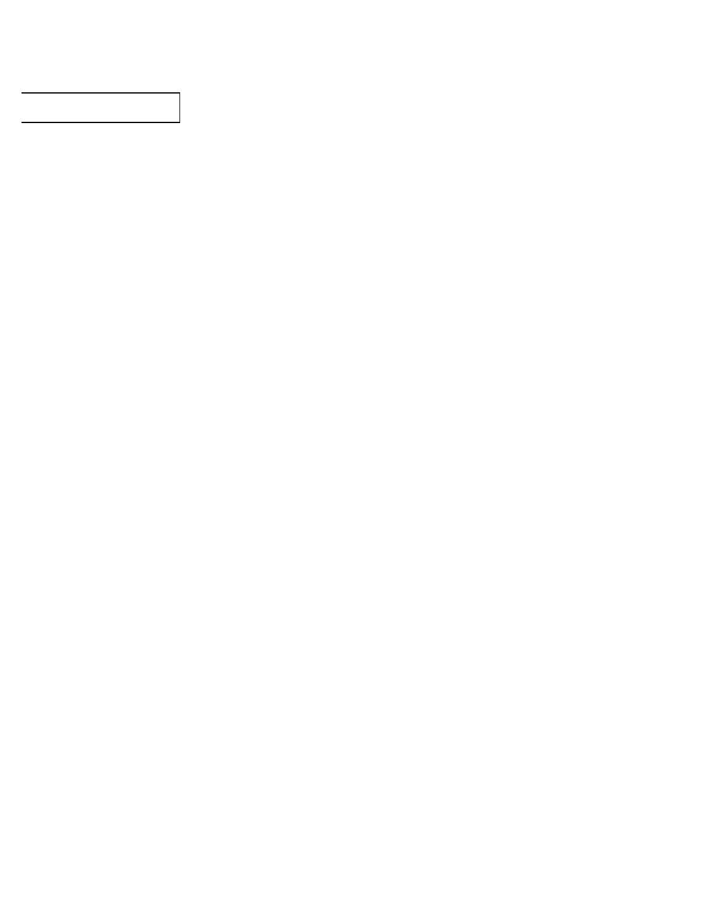